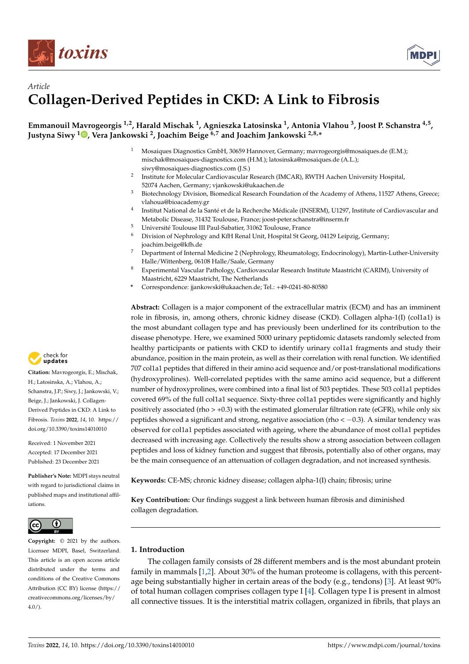



# *Article* **Collagen-Derived Peptides in CKD: A Link to Fibrosis**

# **Emmanouil Mavrogeorgis 1,2, Harald Mischak <sup>1</sup> , Agnieszka Latosinska <sup>1</sup> , Antonia Vlahou <sup>3</sup> , Joost P. Schanstra 4,5 , Justyna Siwy [1](https://orcid.org/0000-0003-1407-2534) , Vera Jankowski <sup>2</sup> , Joachim Beige 6,7 and Joachim Jankowski 2,8,\***

- <sup>1</sup> Mosaiques Diagnostics GmbH, 30659 Hannover, Germany; mavrogeorgis@mosaiques.de (E.M.); mischak@mosaiques-diagnostics.com (H.M.); latosinska@mosaiques.de (A.L.); siwy@mosaiques-diagnostics.com (J.S.)
- 2 Institute for Molecular Cardiovascular Research (IMCAR), RWTH Aachen University Hospital, 52074 Aachen, Germany; vjankowski@ukaachen.de
- <sup>3</sup> Biotechnology Division, Biomedical Research Foundation of the Academy of Athens, 11527 Athens, Greece; vlahoua@bioacademy.gr
- 4 Institut National de la Santé et de la Recherche Médicale (INSERM), U1297, Institute of Cardiovascular and Metabolic Disease, 31432 Toulouse, France; joost-peter.schanstra@inserm.fr
- <sup>5</sup> Université Toulouse III Paul-Sabatier, 31062 Toulouse, France<br><sup>6</sup> Division of Nephrology and *KfH* Papel Unit, Hespital St Coo
- Division of Nephrology and KfH Renal Unit, Hospital St Georg, 04129 Leipzig, Germany; joachim.beige@kfh.de
- <sup>7</sup> Department of Internal Medicine 2 (Nephrology, Rheumatology, Endocrinology), Martin-Luther-University Halle/Wittenberg, 06108 Halle/Saale, Germany
- <sup>8</sup> Experimental Vascular Pathology, Cardiovascular Research Institute Maastricht (CARIM), University of Maastricht, 6229 Maastricht, The Netherlands
- **\*** Correspondence: jjankowski@ukaachen.de; Tel.: +49-0241-80-80580

**Abstract:** Collagen is a major component of the extracellular matrix (ECM) and has an imminent role in fibrosis, in, among others, chronic kidney disease (CKD). Collagen alpha-1(I) (col1a1) is the most abundant collagen type and has previously been underlined for its contribution to the disease phenotype. Here, we examined 5000 urinary peptidomic datasets randomly selected from healthy participants or patients with CKD to identify urinary col1a1 fragments and study their abundance, position in the main protein, as well as their correlation with renal function. We identified 707 col1a1 peptides that differed in their amino acid sequence and/or post-translational modifications (hydroxyprolines). Well-correlated peptides with the same amino acid sequence, but a different number of hydroxyprolines, were combined into a final list of 503 peptides. These 503 col1a1 peptides covered 69% of the full col1a1 sequence. Sixty-three col1a1 peptides were significantly and highly positively associated (rho > +0.3) with the estimated glomerular filtration rate (eGFR), while only six peptides showed a significant and strong, negative association (rho <  $-0.3$ ). A similar tendency was observed for col1a1 peptides associated with ageing, where the abundance of most col1a1 peptides decreased with increasing age. Collectively the results show a strong association between collagen peptides and loss of kidney function and suggest that fibrosis, potentially also of other organs, may be the main consequence of an attenuation of collagen degradation, and not increased synthesis.

**Keywords:** CE-MS; chronic kidney disease; collagen alpha-1(I) chain; fibrosis; urine

**Key Contribution:** Our findings suggest a link between human fibrosis and diminished collagen degradation.

## **1. Introduction**

The collagen family consists of 28 different members and is the most abundant protein family in mammals [\[1,](#page-10-0)[2\]](#page-10-1). About 30% of the human proteome is collagens, with this percentage being substantially higher in certain areas of the body (e.g., tendons) [\[3\]](#page-10-2). At least 90% of total human collagen comprises collagen type I [\[4\]](#page-10-3). Collagen type I is present in almost all connective tissues. It is the interstitial matrix collagen, organized in fibrils, that plays an



**Citation:** Mavrogeorgis, E.; Mischak, H.; Latosinska, A.; Vlahou, A.; Schanstra, J.P.; Siwy, J.; Jankowski, V.; Beige, J.; Jankowski, J. Collagen-Derived Peptides in CKD: A Link to Fibrosis. *Toxins* **2022**, *14*, 10. [https://](https://doi.org/10.3390/toxins14010010) [doi.org/10.3390/toxins14010010](https://doi.org/10.3390/toxins14010010)

Received: 1 November 2021 Accepted: 17 December 2021 Published: 23 December 2021

**Publisher's Note:** MDPI stays neutral with regard to jurisdictional claims in published maps and institutional affiliations.



**Copyright:** © 2021 by the authors. Licensee MDPI, Basel, Switzerland. This article is an open access article distributed under the terms and conditions of the Creative Commons Attribution (CC BY) license [\(https://](https://creativecommons.org/licenses/by/4.0/) [creativecommons.org/licenses/by/](https://creativecommons.org/licenses/by/4.0/)  $4.0/$ ).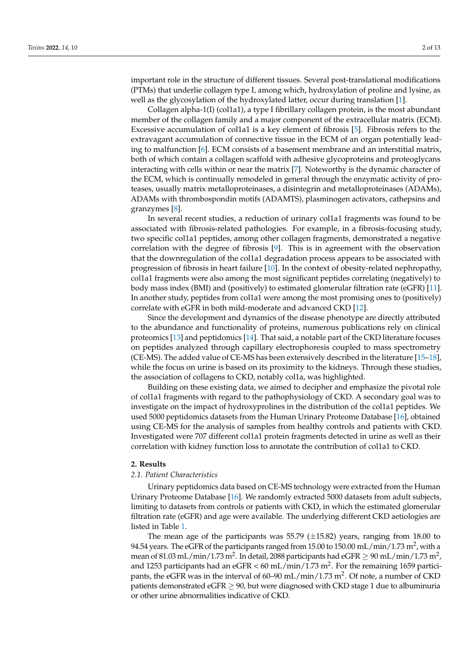important role in the structure of different tissues. Several post-translational modifications (PTMs) that underlie collagen type I, among which, hydroxylation of proline and lysine, as well as the glycosylation of the hydroxylated latter, occur during translation [\[1\]](#page-10-0).

Collagen alpha-1(I) (col1a1), a type I fibrillary collagen protein, is the most abundant member of the collagen family and a major component of the extracellular matrix (ECM). Excessive accumulation of col1a1 is a key element of fibrosis [\[5\]](#page-10-4). Fibrosis refers to the extravagant accumulation of connective tissue in the ECM of an organ potentially leading to malfunction [\[6\]](#page-10-5). ECM consists of a basement membrane and an interstitial matrix, both of which contain a collagen scaffold with adhesive glycoproteins and proteoglycans interacting with cells within or near the matrix [\[7\]](#page-10-6). Noteworthy is the dynamic character of the ECM, which is continually remodeled in general through the enzymatic activity of proteases, usually matrix metalloproteinases, a disintegrin and metalloproteinases (ADAMs), ADAMs with thrombospondin motifs (ADAMTS), plasminogen activators, cathepsins and granzymes [\[8\]](#page-10-7).

In several recent studies, a reduction of urinary col1a1 fragments was found to be associated with fibrosis-related pathologies. For example, in a fibrosis-focusing study, two specific col1a1 peptides, among other collagen fragments, demonstrated a negative correlation with the degree of fibrosis [\[9\]](#page-10-8). This is in agreement with the observation that the downregulation of the col1a1 degradation process appears to be associated with progression of fibrosis in heart failure [\[10\]](#page-10-9). In the context of obesity-related nephropathy, col1a1 fragments were also among the most significant peptides correlating (negatively) to body mass index (BMI) and (positively) to estimated glomerular filtration rate (eGFR) [\[11\]](#page-10-10). In another study, peptides from col1a1 were among the most promising ones to (positively) correlate with eGFR in both mild-moderate and advanced CKD [\[12\]](#page-10-11).

Since the development and dynamics of the disease phenotype are directly attributed to the abundance and functionality of proteins, numerous publications rely on clinical proteomics [\[13\]](#page-10-12) and peptidomics [\[14\]](#page-10-13). That said, a notable part of the CKD literature focuses on peptides analyzed through capillary electrophoresis coupled to mass spectrometry (CE-MS). The added value of CE-MS has been extensively described in the literature [\[15–](#page-10-14)[18\]](#page-10-15), while the focus on urine is based on its proximity to the kidneys. Through these studies, the association of collagens to CKD, notably col1a, was highlighted.

Building on these existing data, we aimed to decipher and emphasize the pivotal role of col1a1 fragments with regard to the pathophysiology of CKD. A secondary goal was to investigate on the impact of hydroxyprolines in the distribution of the col1a1 peptides. We used 5000 peptidomics datasets from the Human Urinary Proteome Database [\[16\]](#page-10-16), obtained using CE-MS for the analysis of samples from healthy controls and patients with CKD. Investigated were 707 different col1a1 protein fragments detected in urine as well as their correlation with kidney function loss to annotate the contribution of col1a1 to CKD.

#### **2. Results**

## *2.1. Patient Characteristics*

Urinary peptidomics data based on CE-MS technology were extracted from the Human Urinary Proteome Database [\[16\]](#page-10-16). We randomly extracted 5000 datasets from adult subjects, limiting to datasets from controls or patients with CKD, in which the estimated glomerular filtration rate (eGFR) and age were available. The underlying different CKD aetiologies are listed in Table [1.](#page-2-0)

The mean age of the participants was 55.79  $(\pm 15.82)$  years, ranging from 18.00 to 94.54 years. The eGFR of the participants ranged from 15.00 to 150.00 mL/min/1.73  $\mathrm{m}^{2}$ , with a mean of 81.03 mL/min/1.73 m<sup>2</sup>. In detail, 2088 participants had eGFR  $\geq$  90 mL/min/1.73 m<sup>2</sup>, and 1253 participants had an eGFR < 60 mL/min/1.73 m<sup>2</sup>. For the remaining 1659 participants, the eGFR was in the interval of 60–90 mL/min/1.73 m<sup>2</sup>. Of note, a number of CKD patients demonstrated eGFR  $\geq$  90, but were diagnosed with CKD stage 1 due to albuminuria or other urine abnormalities indicative of CKD.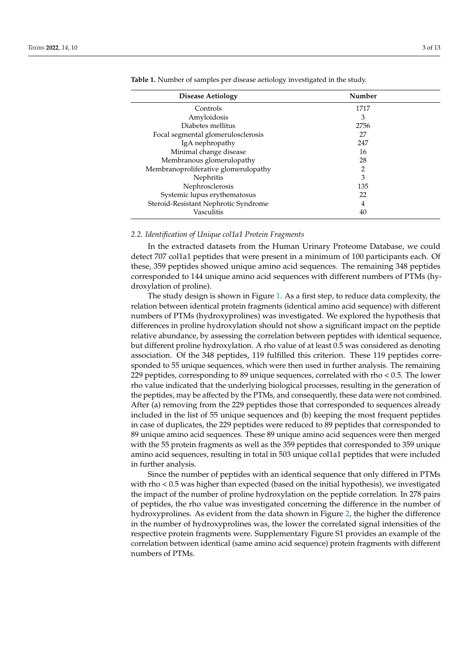| Number |
|--------|
|        |
| 1717   |
| 3      |
| 2756   |
| 27     |
| 247    |
| 16     |
| 28     |
| 2      |
| 3      |
| 135    |
| 22     |
| 4      |
| 40     |
|        |

<span id="page-2-0"></span>**Table 1.** Number of samples per disease aetiology investigated in the study.

#### *2.2. Identification of Unique col1a1 Protein Fragments*

In the extracted datasets from the Human Urinary Proteome Database, we could detect 707 col1a1 peptides that were present in a minimum of 100 participants each. Of these, 359 peptides showed unique amino acid sequences. The remaining 348 peptides corresponded to 144 unique amino acid sequences with different numbers of PTMs (hydroxylation of proline).

The study design is shown in Figure [1.](#page-3-0) As a first step, to reduce data complexity, the relation between identical protein fragments (identical amino acid sequence) with different numbers of PTMs (hydroxyprolines) was investigated. We explored the hypothesis that differences in proline hydroxylation should not show a significant impact on the peptide relative abundance, by assessing the correlation between peptides with identical sequence, but different proline hydroxylation. A rho value of at least 0.5 was considered as denoting association. Of the 348 peptides, 119 fulfilled this criterion. These 119 peptides corresponded to 55 unique sequences, which were then used in further analysis. The remaining 229 peptides, corresponding to 89 unique sequences, correlated with rho < 0.5. The lower rho value indicated that the underlying biological processes, resulting in the generation of the peptides, may be affected by the PTMs, and consequently, these data were not combined. After (a) removing from the 229 peptides those that corresponded to sequences already included in the list of 55 unique sequences and (b) keeping the most frequent peptides in case of duplicates, the 229 peptides were reduced to 89 peptides that corresponded to 89 unique amino acid sequences. These 89 unique amino acid sequences were then merged with the 55 protein fragments as well as the 359 peptides that corresponded to 359 unique amino acid sequences, resulting in total in 503 unique col1a1 peptides that were included in further analysis.

Since the number of peptides with an identical sequence that only differed in PTMs with rho < 0.5 was higher than expected (based on the initial hypothesis), we investigated the impact of the number of proline hydroxylation on the peptide correlation. In 278 pairs of peptides, the rho value was investigated concerning the difference in the number of hydroxyprolines. As evident from the data shown in Figure [2,](#page-4-0) the higher the difference in the number of hydroxyprolines was, the lower the correlated signal intensities of the respective protein fragments were. Supplementary Figure S1 provides an example of the correlation between identical (same amino acid sequence) protein fragments with different numbers of PTMs.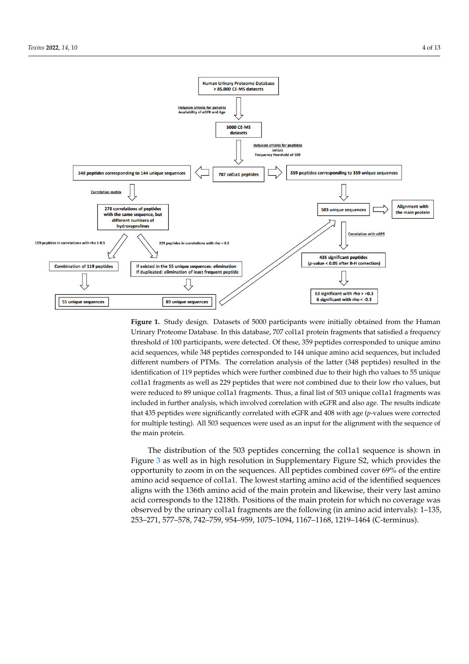<span id="page-3-0"></span>

Urinary Proteome Database. In this database, 707 col1a1 protein fragments that satisfied a frequency threshold of 100 participants, were detected. Of these, 359 peptides corresponded to unique amino  $t_{\rm b}$  participants, were detected. Of the sequence detected. Of these,  $399$  pertides corresponded to  $144$  pertime amino amino and detected. acid sequences, while 348 peptides corresponded to 144 unique amino acid sequences, but included and the setting of the setting of the setting of the setting of the setting of the setting of the setting of the setting of t different numbers of PTMs. The correlation analysis of the latter  $(348$  peptides) resulted in the identification of 119 peptides which were further combined due to their high rho values to 55 unique col1a1 fragments as well as 229 peptides that were not combined due to their low rho values, but col1a1 fragments as well as 229 peptides that were not combined due to their low rho values, but were reduced to 89 unique col1a1 fragments. Thus, a final list of 503 unique col1a1 fragments was were reduced to 89 unique col1a1 fragments. Thus, a final list of 503 unique col1a1 fragments was included in further analysis, which involved correlation with eGFR and also age. The results indicate that 435 peptides were significantly correlated with eGFR and 408 with age (*p*-values were corrected for multiple testing). All 503 sequences were used as an input for the alignment with the sequence of the main protein. **Figure 1.** Study design. Datasets of 5000 participants were initially obtained from the Human

The distribution of the 503 peptides concerning the col1a1 sequence is shown in Figure [3](#page-4-1) as well as in high resolution in Supplementary Figure S2, which provides the opportunity to zoom in on the sequences. All peptides combined cover  $69\%$  of the entire  $\frac{1}{1}$  amino acid sequence of col1a1. The lowest starting amino acid of the identified sequences aligns with the 136th amino acid of the main protein and likewise, their very last amino acid corresponds to the 1218th. Positions of the main protein for which no coverage was observed by the urinary col1a1 fragments are the following (in amino acid intervals): 1–135, correlation between identical (same amino and the same and the sequence) protein fragments with difference in the sequence of the sequence of the sequence of the sequence of the sequence of the sequence of the sequence of 253–271, 577–578, 742–759, 954–959, 1075–1094, 1167–1168, 1219–1464 (C-terminus).<br>.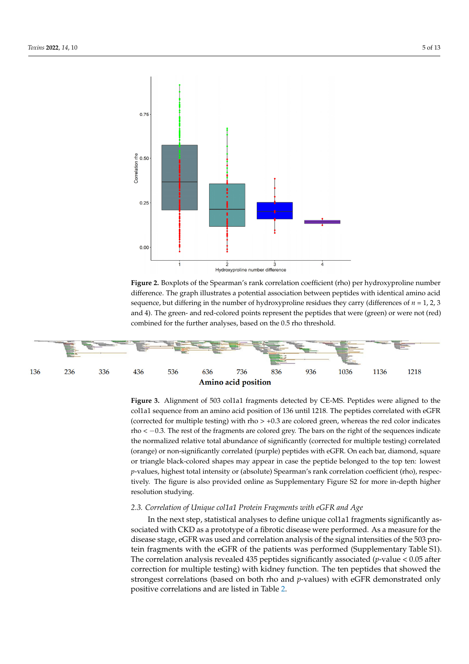

<span id="page-4-0"></span>**Sequence Start** 

<span id="page-4-1"></span>Figure 2. Boxplots of the Spearman's rank correlation coefficient (rho) per hydroxyproline number difference. The graph illustrates a potential association between peptides with identical amino acid sequence, but differing in the number of hydroxyproline residues they carry (differences of  $n = 1, 2, 3$ and 4). The green- and red-colored points represent the peptides that were (green) or were not (red) combined for the further analyses, based on the 0.5 rho threshold.

**Stop** 



Figure 3. Alignment of 503 col1a1 fragments detected by CE-MS. Peptides were aligned to the collal sequence from an amino acid position of 136 until 1218. The peptides correlated with eGFR rho < -0.3. The rest of the fragments are colored grey. The bars on the right of the sequences indicate the normalized relative total abundance of significantly (corrected for multiple testing) correlated (orange) or non-significantly correlated (purple) peptides with eGFR. On each bar, diamond, square or triangle black-colored shapes may appear in case the peptide belonged to the top ten: lowest p-values, highest total intensity or (absolute) Spearman's rank correlation coefficient (rho), respectively. The figure is also provided online as Supplementary Figure S2 for more in-depth higher  $r$  resolution studying. rected for multiple testing testing testing testing and colored green, whereas the red colored green, whereas the red colored green, whereas the red colored green, whereas the red colored green, whereas the red colored gre (corrected for multiple testing) with rho  $> +0.3$  are colored green, whereas the red color indicates As fibrosis and kidney function are associated with age–an association of several col-

## showed the strongest correlation of Unique collect <sup>D</sup>eptement resonants with eGFR and *hoe* strated only positive correlations and are listed in Table 2. lagen fragments with age has been reported in [19–21]—we also investigated the associa-*2.3. Correlation of Unique col1a1 Protein Fragments with eGFR and Age*

In the next step, statistical analyses to define unique col1a1 fragments significantly associated with CKD as a prototype of a fibrotic disease were performed. As a measure for the disease stage, eGFR was used and correlation analysis of the signal intensities of the 503 protein fragments with the eGFR of the patients was performed (Supplementary Table S1). The correlation analysis revealed 435 peptides significantly associated (*p*-value < 0.05 after correction for multiple testing) with kidney function. The ten peptides that showed the strongest correlations (based on both rho and *p*-values) with eGFR demonstrated only positive correlations and are listed in Table [2.](#page-5-0)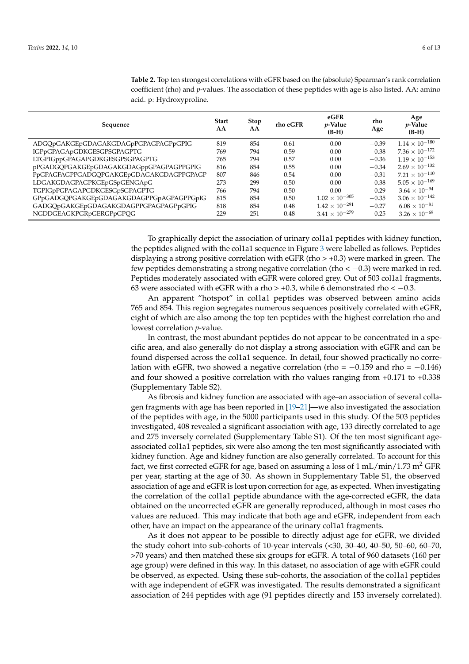| Sequence                                 | <b>Start</b><br>AA | <b>Stop</b><br>AA | rho eGFR | eGFR<br>$p$ -Value<br>$(B-H)$ | rho<br>Age | Age<br><i>p</i> -Value<br>$(B-H)$ |
|------------------------------------------|--------------------|-------------------|----------|-------------------------------|------------|-----------------------------------|
| ADGQpGAKGEpGDAGAKGDAGpPGPAGPAGPpGPIG     | 819                | 854               | 0.61     | 0.00                          | $-0.39$    | $1.14 \times 10^{-180}$           |
| IGPpGPAGApGDKGESGPSGPAGPTG               | 769                | 794               | 0.59     | 0.00                          | $-0.38$    | $7.36 \times 10^{-172}$           |
| LTGPIGppGPAGAPGDKGESGPSGPAGPTG           | 765                | 794               | 0.57     | 0.00                          | $-0.36$    | $1.19 \times 10^{-153}$           |
| pPGADGQPGAKGEpGDAGAKGDAGppGPAGPAGPPGPIG  | 816                | 854               | 0.55     | 0.00                          | $-0.34$    | $2.69 \times 10^{-132}$           |
| PpGPAGFAGPPGADGQPGAKGEpGDAGAKGDAGPPGPAGP | 807                | 846               | 0.54     | 0.00                          | $-0.31$    | $7.21 \times 10^{-110}$           |
| LDGAKGDAGPAGPKGEpGSpGENGApG              | 273                | 299               | 0.50     | 0.00                          | $-0.38$    | $5.05 \times 10^{-169}$           |
| TGPIGpPGPAGAPGDKGESGpSGPAGPTG            | 766                | 794               | 0.50     | 0.00                          | $-0.29$    | $3.64 \times 10^{-94}$            |
| GPpGADGQPGAKGEpGDAGAKGDAGPPGpAGPAGPPGpIG | 815                | 854               | 0.50     | $1.02 \times 10^{-305}$       | $-0.35$    | $3.06 \times 10^{-142}$           |
| GADGQpGAKGEpGDAGAKGDAGPPGPAGPAGPpGPIG    | 818                | 854               | 0.48     | $1.42 \times 10^{-291}$       | $-0.27$    | $6.08 \times 10^{-81}$            |
| NGDDGEAGKPGRpGERGPpGPQG                  | 229                | 251               | 0.48     | $3.41 \times 10^{-279}$       | $-0.25$    | $3.26 \times 10^{-69}$            |

<span id="page-5-0"></span>**Table 2.** Top ten strongest correlations with eGFR based on the (absolute) Spearman's rank correlation coefficient (rho) and *p*-values. The association of these peptides with age is also listed. AA: amino acid. p: Hydroxyproline.

To graphically depict the association of urinary col1a1 peptides with kidney function, the peptides aligned with the col1a1 sequence in Figure [3](#page-4-1) were labelled as follows. Peptides displaying a strong positive correlation with eGFR (rho  $> +0.3$ ) were marked in green. The few peptides demonstrating a strong negative correlation (rho  $< -0.3$ ) were marked in red. Peptides moderately associated with eGFR were colored grey. Out of 503 col1a1 fragments, 63 were associated with eGFR with a rho > +0.3, while 6 demonstrated rho <  $-0.3$ .

An apparent "hotspot" in col1a1 peptides was observed between amino acids 765 and 854. This region segregates numerous sequences positively correlated with eGFR, eight of which are also among the top ten peptides with the highest correlation rho and lowest correlation *p*-value.

In contrast, the most abundant peptides do not appear to be concentrated in a specific area, and also generally do not display a strong association with eGFR and can be found dispersed across the col1a1 sequence. In detail, four showed practically no correlation with eGFR, two showed a negative correlation (rho =  $-0.159$  and rho =  $-0.146$ ) and four showed a positive correlation with rho values ranging from +0.171 to +0.338 (Supplementary Table S2).

As fibrosis and kidney function are associated with age–an association of several collagen fragments with age has been reported in [\[19](#page-10-17)[–21\]](#page-10-18)—we also investigated the association of the peptides with age, in the 5000 participants used in this study. Of the 503 peptides investigated, 408 revealed a significant association with age, 133 directly correlated to age and 275 inversely correlated (Supplementary Table S1). Of the ten most significant ageassociated col1a1 peptides, six were also among the ten most significantly associated with kidney function. Age and kidney function are also generally correlated. To account for this fact, we first corrected eGFR for age, based on assuming a loss of  $1 \text{ mL/min}/1.73 \text{ m}^2$  GFR per year, starting at the age of 30. As shown in Supplementary Table S1, the observed association of age and eGFR is lost upon correction for age, as expected. When investigating the correlation of the col1a1 peptide abundance with the age-corrected eGFR, the data obtained on the uncorrected eGFR are generally reproduced, although in most cases rho values are reduced. This may indicate that both age and eGFR, independent from each other, have an impact on the appearance of the urinary col1a1 fragments.

As it does not appear to be possible to directly adjust age for eGFR, we divided the study cohort into sub-cohorts of 10-year intervals (<30, 30–40, 40–50, 50–60, 60–70, >70 years) and then matched these six groups for eGFR. A total of 960 datasets (160 per age group) were defined in this way. In this dataset, no association of age with eGFR could be observed, as expected. Using these sub-cohorts, the association of the col1a1 peptides with age independent of eGFR was investigated. The results demonstrated a significant association of 244 peptides with age (91 peptides directly and 153 inversely correlated).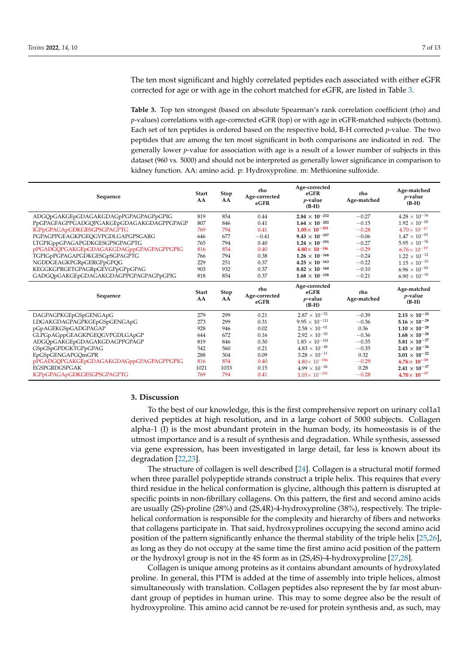The ten most significant and highly correlated peptides each associated with either eGFR corrected for age or with age in the cohort matched for eGFR, are listed in Table [3.](#page-6-0)

<span id="page-6-0"></span>**Table 3.** Top ten strongest (based on absolute Spearman's rank correlation coefficient (rho) and *p*-values) correlations with age-corrected eGFR (top) or with age in eGFR-matched subjects (bottom). Each set of ten peptides is ordered based on the respective bold, B-H corrected *p*-value. The two peptides that are among the ten most significant in both comparisons are indicated in red. The generally lower *p*-value for association with age is a result of a lower number of subjects in this dataset (960 vs. 5000) and should not be interpreted as generally lower significance in comparison to kidney function. AA: amino acid. p: Hydroxyproline. m: Methionine sulfoxide.

| Sequence                                                  | <b>Start</b><br>AA | Stop<br>AA  | rho<br>Age-corrected<br>eGFR | Age-corrected<br>eGFR<br>$p$ -value<br>$(B-H)$    | rho<br>Age-matched | Age-matched<br>$p$ -value<br>$(B-H)$             |
|-----------------------------------------------------------|--------------------|-------------|------------------------------|---------------------------------------------------|--------------------|--------------------------------------------------|
| ADGQpGAKGEpGDAGAKGDAGpPGPAGPAGPpGPIG                      | 819                | 854         | 0.44                         | $2.84 \times 10^{-232}$                           | $-0.27$            | $4.28\times10^{-16}$                             |
| PpGPAGFAGPPGADGQPGAKGEpGDAGAKGDAGPPGPAGP                  | 807                | 846         | 0.41                         | $1.64 \times 10^{-202}$                           | $-0.15$            | $1.92 \times 10^{-05}$                           |
| IGPpGPAGApGDKGESGPSGPAGPTG                                | 769                | 794         | 0.41                         | $1.05\times 10^{-201}$                            | $-0.28$            | $4.70 \times 10^{-17}$                           |
| PGPAGPPGEAGKPGEQGVPGDLGAPGPSGARG                          | 646                | 677         | $-0.41$                      | $9.43 \times 10^{-197}$                           | $-0.06$            | $1.47 \times 10^{-01}$                           |
| LTGPIGppGPAGAPGDKGESGPSGPAGPTG                            | 765                | 794         | 0.40                         | $1.24 \times 10^{-191}$                           | $-0.27$            | $5.95 \times 10^{-16}$                           |
| pPGADGQPGAKGEpGDAGAKGDAGppGPAGPAGPPGPIG                   | 816                | 854         | 0.40                         | $4.80 \times 10^{-186}$                           | $-0.29$            | $6.76 \times 10^{-19}$                           |
| TGPIGpPGPAGAPGDKGESGpSGPAGPTG                             | 766                | 794         | 0.38                         | $1.26 \times 10^{-168}$                           | $-0.24$            | $1.22 \times 10^{-12}$                           |
| NGDDGEAGKPGRpGERGPpGPQG                                   | 229                | 251         | 0.37                         | $4.25 \times 10^{-163}$                           | $-0.22$            | $1.15 \times 10^{-10}$                           |
| KEGGKGPRGETGPAGRpGEVGPpGPpGPAG                            | 903                | 932         | 0.37                         | $8.82 \times 10^{-160}$                           | $-0.10$            | $6.96 \times 10^{-03}$                           |
| GADGQpGAKGEpGDAGAKGDAGPPGPAGPAGPpGPIG                     | 818                | 854         | 0.37                         | $1.68 \times 10^{-158}$                           | $-0.21$            | $6.90 \times 10^{-10}$                           |
|                                                           |                    |             |                              |                                                   |                    |                                                  |
| Sequence                                                  | <b>Start</b><br>AA | Stop<br>AA  | rho<br>Age-corrected<br>eGFR | Age-corrected<br>eGFR<br>$p$ -value<br>$(B-H)$    | rho<br>Age-matched | Age-matched<br><i>p</i> -value<br>$(B-H)$        |
|                                                           | 279                | 299         | 0.21                         | $2.87 \times 10^{-52}$                            | $-0.39$            |                                                  |
| DAGPAGPKGEpGSpGENGApG<br>LDGAKGDAGPAGPKGEpGSpGENGApG      | 273                | 299         | 0.31                         | $9.95 \times 10^{-111}$                           | $-0.36$            | $2.15\times10^{-33}$<br>$5.16 \times 10^{-29}$   |
| pGpAGEKGSpGADGPAGAP                                       | 928                | 946         | 0.02                         | $2.58 \times 10^{-01}$                            | 0.36               | $1.10 \times 10^{-28}$                           |
| GLPGpAGppGEAGKPGEQGVPGDLGApGP                             | 644                | 672         | 0.16                         | $2.92 \times 10^{-30}$                            | $-0.36$            | $1.68\times10^{-28}$                             |
| ADGQpGAKGEpGDAGAKGDAGPPGPAGP                              | 819                | 846         | 0.30                         | $1.83 \times 10^{-101}$                           | $-0.35$            | $5.81\times10^{-27}$                             |
| GSpGSpGPDGKTGPpGPAG                                       | 542                | 560         | 0.21                         | $4.83 \times 10^{-48}$                            | $-0.35$            | $2.43\times10^{-26}$                             |
| EpGSpGENGAPGQmGPR                                         | 288                | 304         | 0.09                         | $3.28 \times 10^{-11}$                            | 0.32               | $3.01 \times 10^{-22}$                           |
| pPGADGQPGAKGEpGDAGAKGDAGppGPAGPAGPPGPIG                   | 816                | 854         | 0.40                         | $4.80\times 10^{-186}$                            | $-0.29$            | $6.76 \times 10^{-19}$                           |
| <b>EGSPGRDGSPGAK</b><br><b>IGPpGPAGApGDKGESGPSGPAGPTG</b> | 1021<br>769        | 1033<br>794 | 0.15<br>0.41                 | $4.99 \times 10^{-26}$<br>$1.05 \times 10^{-201}$ | 0.28<br>$-0.28$    | $2.41 \times 10^{-17}$<br>$4.70 \times 10^{-17}$ |

## **3. Discussion**

To the best of our knowledge, this is the first comprehensive report on urinary col1a1 derived peptides at high resolution, and in a large cohort of 5000 subjects. Collagen alpha-1 (I) is the most abundant protein in the human body, its homeostasis is of the utmost importance and is a result of synthesis and degradation. While synthesis, assessed via gene expression, has been investigated in large detail, far less is known about its degradation [\[22](#page-10-19)[,23\]](#page-10-20).

The structure of collagen is well described [\[24\]](#page-10-21). Collagen is a structural motif formed when three parallel polypeptide strands construct a triple helix. This requires that every third residue in the helical conformation is glycine, although this pattern is disrupted at specific points in non-fibrillary collagens. On this pattern, the first and second amino acids are usually (2S)-proline (28%) and (2S,4R)-4-hydroxyproline (38%), respectively. The triplehelical conformation is responsible for the complexity and hierarchy of fibers and networks that collagens participate in. That said, hydroxyprolines occupying the second amino acid position of the pattern significantly enhance the thermal stability of the triple helix [\[25](#page-10-22)[,26\]](#page-10-23), as long as they do not occupy at the same time the first amino acid position of the pattern or the hydroxyl group is not in the 4S form as in (2S,4S)-4-hydroxyproline [\[27](#page-10-24)[,28\]](#page-11-0).

Collagen is unique among proteins as it contains abundant amounts of hydroxylated proline. In general, this PTM is added at the time of assembly into triple helices, almost simultaneously with translation. Collagen peptides also represent the by far most abundant group of peptides in human urine. This may to some degree also be the result of hydroxyproline. This amino acid cannot be re-used for protein synthesis and, as such, may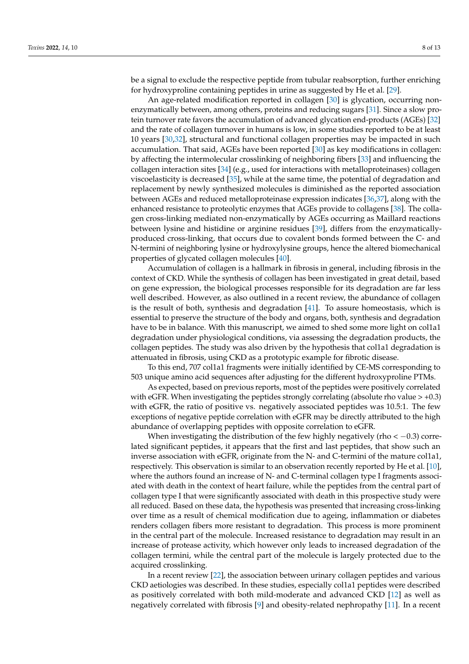be a signal to exclude the respective peptide from tubular reabsorption, further enriching for hydroxyproline containing peptides in urine as suggested by He et al. [\[29\]](#page-11-1).

An age-related modification reported in collagen [\[30\]](#page-11-2) is glycation, occurring nonenzymatically between, among others, proteins and reducing sugars [\[31\]](#page-11-3). Since a slow protein turnover rate favors the accumulation of advanced glycation end-products (AGEs) [\[32\]](#page-11-4) and the rate of collagen turnover in humans is low, in some studies reported to be at least 10 years [\[30](#page-11-2)[,32\]](#page-11-4), structural and functional collagen properties may be impacted in such accumulation. That said, AGEs have been reported [\[30\]](#page-11-2) as key modifications in collagen: by affecting the intermolecular crosslinking of neighboring fibers [\[33\]](#page-11-5) and influencing the collagen interaction sites [\[34\]](#page-11-6) (e.g., used for interactions with metalloproteinases) collagen viscoelasticity is decreased [\[35\]](#page-11-7), while at the same time, the potential of degradation and replacement by newly synthesized molecules is diminished as the reported association between AGEs and reduced metalloproteinase expression indicates [\[36](#page-11-8)[,37\]](#page-11-9), along with the enhanced resistance to proteolytic enzymes that AGEs provide to collagens [\[38\]](#page-11-10). The collagen cross-linking mediated non-enzymatically by AGEs occurring as Maillard reactions between lysine and histidine or arginine residues [\[39\]](#page-11-11), differs from the enzymaticallyproduced cross-linking, that occurs due to covalent bonds formed between the C- and N-termini of neighboring lysine or hydroxylysine groups, hence the altered biomechanical properties of glycated collagen molecules [\[40\]](#page-11-12).

Accumulation of collagen is a hallmark in fibrosis in general, including fibrosis in the context of CKD. While the synthesis of collagen has been investigated in great detail, based on gene expression, the biological processes responsible for its degradation are far less well described. However, as also outlined in a recent review, the abundance of collagen is the result of both, synthesis and degradation [\[41\]](#page-11-13). To assure homeostasis, which is essential to preserve the structure of the body and organs, both, synthesis and degradation have to be in balance. With this manuscript, we aimed to shed some more light on col1a1 degradation under physiological conditions, via assessing the degradation products, the collagen peptides. The study was also driven by the hypothesis that col1a1 degradation is attenuated in fibrosis, using CKD as a prototypic example for fibrotic disease.

To this end, 707 col1a1 fragments were initially identified by CE-MS corresponding to 503 unique amino acid sequences after adjusting for the different hydroxyproline PTMs.

As expected, based on previous reports, most of the peptides were positively correlated with eGFR. When investigating the peptides strongly correlating (absolute rho value  $> +0.3$ ) with eGFR, the ratio of positive vs. negatively associated peptides was 10.5:1. The few exceptions of negative peptide correlation with eGFR may be directly attributed to the high abundance of overlapping peptides with opposite correlation to eGFR.

When investigating the distribution of the few highly negatively (rho  $<-0.3$ ) correlated significant peptides, it appears that the first and last peptides, that show such an inverse association with eGFR, originate from the N- and C-termini of the mature col1a1, respectively. This observation is similar to an observation recently reported by He et al. [\[10\]](#page-10-9), where the authors found an increase of N- and C-terminal collagen type I fragments associated with death in the context of heart failure, while the peptides from the central part of collagen type I that were significantly associated with death in this prospective study were all reduced. Based on these data, the hypothesis was presented that increasing cross-linking over time as a result of chemical modification due to ageing, inflammation or diabetes renders collagen fibers more resistant to degradation. This process is more prominent in the central part of the molecule. Increased resistance to degradation may result in an increase of protease activity, which however only leads to increased degradation of the collagen termini, while the central part of the molecule is largely protected due to the acquired crosslinking.

In a recent review [\[22\]](#page-10-19), the association between urinary collagen peptides and various CKD aetiologies was described. In these studies, especially col1a1 peptides were described as positively correlated with both mild-moderate and advanced CKD [\[12\]](#page-10-11) as well as negatively correlated with fibrosis [\[9\]](#page-10-8) and obesity-related nephropathy [\[11\]](#page-10-10). In a recent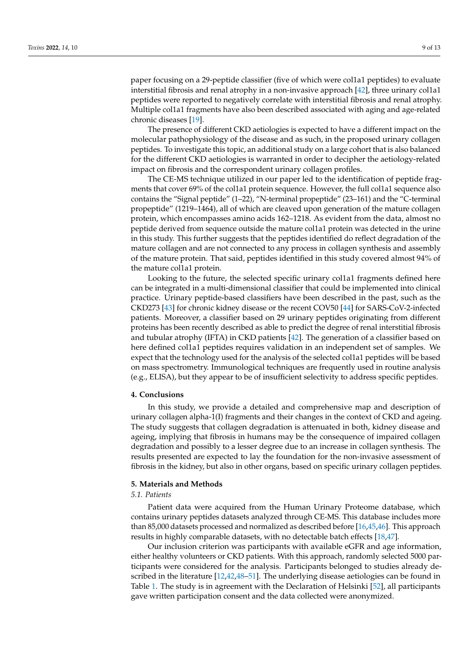paper focusing on a 29-peptide classifier (five of which were col1a1 peptides) to evaluate interstitial fibrosis and renal atrophy in a non-invasive approach [\[42\]](#page-11-14), three urinary col1a1 peptides were reported to negatively correlate with interstitial fibrosis and renal atrophy. Multiple col1a1 fragments have also been described associated with aging and age-related chronic diseases [\[19\]](#page-10-17).

The presence of different CKD aetiologies is expected to have a different impact on the molecular pathophysiology of the disease and as such, in the proposed urinary collagen peptides. To investigate this topic, an additional study on a large cohort that is also balanced for the different CKD aetiologies is warranted in order to decipher the aetiology-related impact on fibrosis and the correspondent urinary collagen profiles.

The CE-MS technique utilized in our paper led to the identification of peptide fragments that cover 69% of the col1a1 protein sequence. However, the full col1a1 sequence also contains the "Signal peptide" (1–22), "N-terminal propeptide" (23–161) and the "C-terminal propeptide" (1219–1464), all of which are cleaved upon generation of the mature collagen protein, which encompasses amino acids 162–1218. As evident from the data, almost no peptide derived from sequence outside the mature col1a1 protein was detected in the urine in this study. This further suggests that the peptides identified do reflect degradation of the mature collagen and are not connected to any process in collagen synthesis and assembly of the mature protein. That said, peptides identified in this study covered almost 94% of the mature col1a1 protein.

Looking to the future, the selected specific urinary col1a1 fragments defined here can be integrated in a multi-dimensional classifier that could be implemented into clinical practice. Urinary peptide-based classifiers have been described in the past, such as the CKD273 [\[43\]](#page-11-15) for chronic kidney disease or the recent COV50 [\[44\]](#page-11-16) for SARS-CoV-2-infected patients. Moreover, a classifier based on 29 urinary peptides originating from different proteins has been recently described as able to predict the degree of renal interstitial fibrosis and tubular atrophy (IFTA) in CKD patients [\[42\]](#page-11-14). The generation of a classifier based on here defined col1a1 peptides requires validation in an independent set of samples. We expect that the technology used for the analysis of the selected col1a1 peptides will be based on mass spectrometry. Immunological techniques are frequently used in routine analysis (e.g., ELISA), but they appear to be of insufficient selectivity to address specific peptides.

## **4. Conclusions**

In this study, we provide a detailed and comprehensive map and description of urinary collagen alpha-1(I) fragments and their changes in the context of CKD and ageing. The study suggests that collagen degradation is attenuated in both, kidney disease and ageing, implying that fibrosis in humans may be the consequence of impaired collagen degradation and possibly to a lesser degree due to an increase in collagen synthesis. The results presented are expected to lay the foundation for the non-invasive assessment of fibrosis in the kidney, but also in other organs, based on specific urinary collagen peptides.

#### **5. Materials and Methods**

## *5.1. Patients*

Patient data were acquired from the Human Urinary Proteome database, which contains urinary peptides datasets analyzed through CE-MS. This database includes more than 85,000 datasets processed and normalized as described before [\[16](#page-10-16)[,45,](#page-11-17)[46\]](#page-11-18). This approach results in highly comparable datasets, with no detectable batch effects [\[18](#page-10-15)[,47\]](#page-11-19).

Our inclusion criterion was participants with available eGFR and age information, either healthy volunteers or CKD patients. With this approach, randomly selected 5000 participants were considered for the analysis. Participants belonged to studies already described in the literature [\[12](#page-10-11)[,42](#page-11-14)[,48](#page-11-20)[–51\]](#page-12-0). The underlying disease aetiologies can be found in Table [1.](#page-2-0) The study is in agreement with the Declaration of Helsinki [\[52\]](#page-12-1), all participants gave written participation consent and the data collected were anonymized.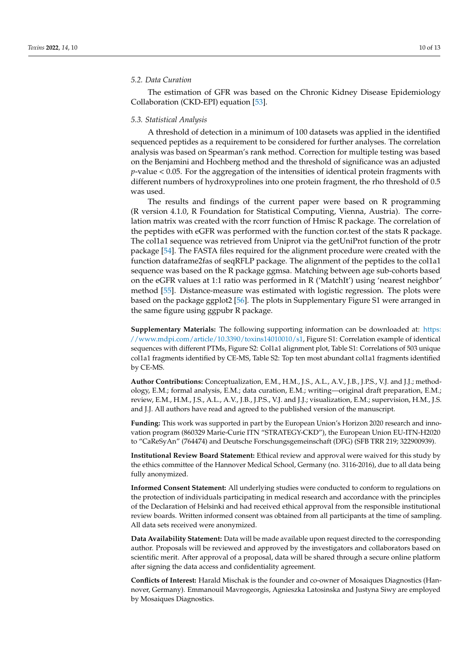#### *5.2. Data Curation*

The estimation of GFR was based on the Chronic Kidney Disease Epidemiology Collaboration (CKD-EPI) equation [\[53\]](#page-12-2).

## *5.3. Statistical Analysis*

A threshold of detection in a minimum of 100 datasets was applied in the identified sequenced peptides as a requirement to be considered for further analyses. The correlation analysis was based on Spearman's rank method. Correction for multiple testing was based on the Benjamini and Hochberg method and the threshold of significance was an adjusted *p*-value < 0.05. For the aggregation of the intensities of identical protein fragments with different numbers of hydroxyprolines into one protein fragment, the rho threshold of 0.5 was used.

The results and findings of the current paper were based on R programming (R version 4.1.0, R Foundation for Statistical Computing, Vienna, Austria). The correlation matrix was created with the rcorr function of Hmisc R package. The correlation of the peptides with eGFR was performed with the function cor.test of the stats R package. The col1a1 sequence was retrieved from Uniprot via the getUniProt function of the protr package [\[54\]](#page-12-3). The FASTA files required for the alignment procedure were created with the function dataframe2fas of seqRFLP package. The alignment of the peptides to the col1a1 sequence was based on the R package ggmsa. Matching between age sub-cohorts based on the eGFR values at 1:1 ratio was performed in R ('MatchIt') using 'nearest neighbor' method [\[55\]](#page-12-4). Distance-measure was estimated with logistic regression. The plots were based on the package ggplot2 [\[56\]](#page-12-5). The plots in Supplementary Figure S1 were arranged in the same figure using ggpubr R package.

**Supplementary Materials:** The following supporting information can be downloaded at: [https:](https://www.mdpi.com/article/10.3390/toxins14010010/s1) [//www.mdpi.com/article/10.3390/toxins14010010/s1,](https://www.mdpi.com/article/10.3390/toxins14010010/s1) Figure S1: Correlation example of identical sequences with different PTMs, Figure S2: Col1a1 alignment plot, Table S1: Correlations of 503 unique col1a1 fragments identified by CE-MS, Table S2: Top ten most abundant col1a1 fragments identified by CE-MS.

**Author Contributions:** Conceptualization, E.M., H.M., J.S., A.L., A.V., J.B., J.P.S., V.J. and J.J.; methodology, E.M.; formal analysis, E.M.; data curation, E.M.; writing—original draft preparation, E.M.; review, E.M., H.M., J.S., A.L., A.V., J.B., J.P.S., V.J. and J.J.; visualization, E.M.; supervision, H.M., J.S. and J.J. All authors have read and agreed to the published version of the manuscript.

**Funding:** This work was supported in part by the European Union's Horizon 2020 research and innovation program (860329 Marie-Curie ITN "STRATEGY-CKD"), the European Union EU-ITN-H2020 to "CaReSyAn" (764474) and Deutsche Forschungsgemeinschaft (DFG) (SFB TRR 219; 322900939).

**Institutional Review Board Statement:** Ethical review and approval were waived for this study by the ethics committee of the Hannover Medical School, Germany (no. 3116-2016), due to all data being fully anonymized.

**Informed Consent Statement:** All underlying studies were conducted to conform to regulations on the protection of individuals participating in medical research and accordance with the principles of the Declaration of Helsinki and had received ethical approval from the responsible institutional review boards. Written informed consent was obtained from all participants at the time of sampling. All data sets received were anonymized.

**Data Availability Statement:** Data will be made available upon request directed to the corresponding author. Proposals will be reviewed and approved by the investigators and collaborators based on scientific merit. After approval of a proposal, data will be shared through a secure online platform after signing the data access and confidentiality agreement.

**Conflicts of Interest:** Harald Mischak is the founder and co-owner of Mosaiques Diagnostics (Hannover, Germany). Emmanouil Mavrogeorgis, Agnieszka Latosinska and Justyna Siwy are employed by Mosaiques Diagnostics.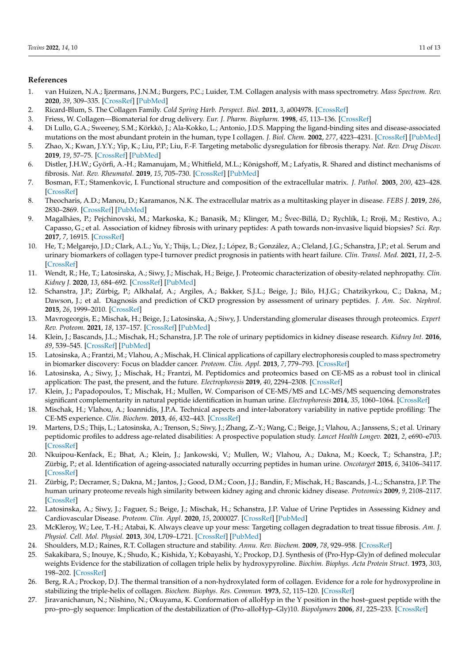#### **References**

- <span id="page-10-0"></span>1. van Huizen, N.A.; Ijzermans, J.N.M.; Burgers, P.C.; Luider, T.M. Collagen analysis with mass spectrometry. *Mass Spectrom. Rev.* **2020**, *39*, 309–335. [\[CrossRef\]](http://doi.org/10.1002/mas.21600) [\[PubMed\]](http://www.ncbi.nlm.nih.gov/pubmed/31498911)
- <span id="page-10-1"></span>2. Ricard-Blum, S. The Collagen Family. *Cold Spring Harb. Perspect. Biol.* **2011**, *3*, a004978. [\[CrossRef\]](http://doi.org/10.1101/cshperspect.a004978)
- <span id="page-10-2"></span>3. Friess, W. Collagen—Biomaterial for drug delivery. *Eur. J. Pharm. Biopharm.* **1998**, *45*, 113–136. [\[CrossRef\]](http://doi.org/10.1016/S0939-6411(98)00017-4)
- <span id="page-10-3"></span>4. Di Lullo, G.A.; Sweeney, S.M.; Körkkö, J.; Ala-Kokko, L.; Antonio, J.D.S. Mapping the ligand-binding sites and disease-associated mutations on the most abundant protein in the human, type I collagen. *J. Biol. Chem.* **2002**, *277*, 4223–4231. [\[CrossRef\]](http://doi.org/10.1074/jbc.M110709200) [\[PubMed\]](http://www.ncbi.nlm.nih.gov/pubmed/11704682)
- <span id="page-10-4"></span>5. Zhao, X.; Kwan, J.Y.Y.; Yip, K.; Liu, P.P.; Liu, F.-F. Targeting metabolic dysregulation for fibrosis therapy. *Nat. Rev. Drug Discov.* **2019**, *19*, 57–75. [\[CrossRef\]](http://doi.org/10.1038/s41573-019-0040-5) [\[PubMed\]](http://www.ncbi.nlm.nih.gov/pubmed/31548636)
- <span id="page-10-5"></span>6. Distler, J.H.W.; Györfi, A.-H.; Ramanujam, M.; Whitfield, M.L.; Königshoff, M.; Lafyatis, R. Shared and distinct mechanisms of fibrosis. *Nat. Rev. Rheumatol.* **2019**, *15*, 705–730. [\[CrossRef\]](http://doi.org/10.1038/s41584-019-0322-7) [\[PubMed\]](http://www.ncbi.nlm.nih.gov/pubmed/31712723)
- <span id="page-10-6"></span>7. Bosman, F.T.; Stamenkovic, I. Functional structure and composition of the extracellular matrix. *J. Pathol.* **2003**, *200*, 423–428. [\[CrossRef\]](http://doi.org/10.1002/path.1437)
- <span id="page-10-7"></span>8. Theocharis, A.D.; Manou, D.; Karamanos, N.K. The extracellular matrix as a multitasking player in disease. *FEBS J.* **2019**, *286*, 2830–2869. [\[CrossRef\]](http://doi.org/10.1111/febs.14818) [\[PubMed\]](http://www.ncbi.nlm.nih.gov/pubmed/30908868)
- <span id="page-10-8"></span>9. Magalhães, P.; Pejchinovski, M.; Markoska, K.; Banasik, M.; Klinger, M.; Švec-Billá, D.; Rychlík, I.; Rroji, M.; Restivo, A.; Capasso, G.; et al. Association of kidney fibrosis with urinary peptides: A path towards non-invasive liquid biopsies? *Sci. Rep.* **2017**, *7*, 16915. [\[CrossRef\]](http://doi.org/10.1038/s41598-017-17083-w)
- <span id="page-10-9"></span>10. He, T.; Melgarejo, J.D.; Clark, A.L.; Yu, Y.; Thijs, L.; Díez, J.; López, B.; González, A.; Cleland, J.G.; Schanstra, J.P.; et al. Serum and urinary biomarkers of collagen type-I turnover predict prognosis in patients with heart failure. *Clin. Transl. Med.* **2021**, *11*, 2–5. [\[CrossRef\]](http://doi.org/10.1002/ctm2.267)
- <span id="page-10-10"></span>11. Wendt, R.; He, T.; Latosinska, A.; Siwy, J.; Mischak, H.; Beige, J. Proteomic characterization of obesity-related nephropathy. *Clin. Kidney J.* **2020**, *13*, 684–692. [\[CrossRef\]](http://doi.org/10.1093/ckj/sfaa016) [\[PubMed\]](http://www.ncbi.nlm.nih.gov/pubmed/32905225)
- <span id="page-10-11"></span>12. Schanstra, J.P.; Zürbig, P.; Alkhalaf, A.; Argiles, A.; Bakker, S.J.L.; Beige, J.; Bilo, H.J.G.; Chatzikyrkou, C.; Dakna, M.; Dawson, J.; et al. Diagnosis and prediction of CKD progression by assessment of urinary peptides. *J. Am. Soc. Nephrol.* **2015**, *26*, 1999–2010. [\[CrossRef\]](http://doi.org/10.1681/ASN.2014050423)
- <span id="page-10-12"></span>13. Mavrogeorgis, E.; Mischak, H.; Beige, J.; Latosinska, A.; Siwy, J. Understanding glomerular diseases through proteomics. *Expert Rev. Proteom.* **2021**, *18*, 137–157. [\[CrossRef\]](http://doi.org/10.1080/14789450.2021.1908893) [\[PubMed\]](http://www.ncbi.nlm.nih.gov/pubmed/33779448)
- <span id="page-10-13"></span>14. Klein, J.; Bascands, J.L.; Mischak, H.; Schanstra, J.P. The role of urinary peptidomics in kidney disease research. *Kidney Int.* **2016**, *89*, 539–545. [\[CrossRef\]](http://doi.org/10.1016/j.kint.2015.10.010) [\[PubMed\]](http://www.ncbi.nlm.nih.gov/pubmed/26880450)
- <span id="page-10-14"></span>15. Latosinska, A.; Frantzi, M.; Vlahou, A.; Mischak, H. Clinical applications of capillary electrophoresis coupled to mass spectrometry in biomarker discovery: Focus on bladder cancer. *Proteom. Clin. Appl.* **2013**, *7*, 779–793. [\[CrossRef\]](http://doi.org/10.1002/prca.201300038)
- <span id="page-10-16"></span>16. Latosinska, A.; Siwy, J.; Mischak, H.; Frantzi, M. Peptidomics and proteomics based on CE-MS as a robust tool in clinical application: The past, the present, and the future. *Electrophoresis* **2019**, *40*, 2294–2308. [\[CrossRef\]](http://doi.org/10.1002/elps.201900091)
- 17. Klein, J.; Papadopoulos, T.; Mischak, H.; Mullen, W. Comparison of CE-MS/MS and LC-MS/MS sequencing demonstrates significant complementarity in natural peptide identification in human urine. *Electrophoresis* **2014**, *35*, 1060–1064. [\[CrossRef\]](http://doi.org/10.1002/elps.201300327)
- <span id="page-10-15"></span>18. Mischak, H.; Vlahou, A.; Ioannidis, J.P.A. Technical aspects and inter-laboratory variability in native peptide profiling: The CE-MS experience. *Clin. Biochem.* **2013**, *46*, 432–443. [\[CrossRef\]](http://doi.org/10.1016/j.clinbiochem.2012.09.025)
- <span id="page-10-17"></span>19. Martens, D.S.; Thijs, L.; Latosinska, A.; Trenson, S.; Siwy, J.; Zhang, Z.-Y.; Wang, C.; Beige, J.; Vlahou, A.; Janssens, S.; et al. Urinary peptidomic profiles to address age-related disabilities: A prospective population study. *Lancet Health Longev.* **2021**, *2*, e690–e703. [\[CrossRef\]](http://doi.org/10.1016/S2666-7568(21)00226-9)
- 20. Nkuipou-Kenfack, E.; Bhat, A.; Klein, J.; Jankowski, V.; Mullen, W.; Vlahou, A.; Dakna, M.; Koeck, T.; Schanstra, J.P.; Zürbig, P.; et al. Identification of ageing-associated naturally occurring peptides in human urine. *Oncotarget* **2015**, *6*, 34106–34117. [\[CrossRef\]](http://doi.org/10.18632/oncotarget.5896)
- <span id="page-10-18"></span>21. Zürbig, P.; Decramer, S.; Dakna, M.; Jantos, J.; Good, D.M.; Coon, J.J.; Bandin, F.; Mischak, H.; Bascands, J.-L.; Schanstra, J.P. The human urinary proteome reveals high similarity between kidney aging and chronic kidney disease. *Proteomics* **2009**, *9*, 2108–2117. [\[CrossRef\]](http://doi.org/10.1002/pmic.200800560)
- <span id="page-10-19"></span>22. Latosinska, A.; Siwy, J.; Faguer, S.; Beige, J.; Mischak, H.; Schanstra, J.P. Value of Urine Peptides in Assessing Kidney and Cardiovascular Disease. *Proteom. Clin. Appl.* **2020**, *15*, 2000027. [\[CrossRef\]](http://doi.org/10.1002/prca.202000027) [\[PubMed\]](http://www.ncbi.nlm.nih.gov/pubmed/32710812)
- <span id="page-10-20"></span>23. McKleroy, W.; Lee, T.-H.; Atabai, K. Always cleave up your mess: Targeting collagen degradation to treat tissue fibrosis. *Am. J. Physiol. Cell. Mol. Physiol.* **2013**, *304*, L709–L721. [\[CrossRef\]](http://doi.org/10.1152/ajplung.00418.2012) [\[PubMed\]](http://www.ncbi.nlm.nih.gov/pubmed/23564511)
- <span id="page-10-21"></span>24. Shoulders, M.D.; Raines, R.T. Collagen structure and stability. *Annu. Rev. Biochem.* **2009**, *78*, 929–958. [\[CrossRef\]](http://doi.org/10.1146/annurev.biochem.77.032207.120833)
- <span id="page-10-22"></span>25. Sakakibara, S.; Inouye, K.; Shudo, K.; Kishida, Y.; Kobayashi, Y.; Prockop, D.J. Synthesis of (Pro-Hyp-Gly)n of defined molecular weights Evidence for the stabilization of collagen triple helix by hydroxypyroline. *Biochim. Biophys. Acta Protein Struct.* **1973**, *303*, 198–202. [\[CrossRef\]](http://doi.org/10.1016/0005-2795(73)90164-5)
- <span id="page-10-23"></span>26. Berg, R.A.; Prockop, D.J. The thermal transition of a non-hydroxylated form of collagen. Evidence for a role for hydroxyproline in stabilizing the triple-helix of collagen. *Biochem. Biophys. Res. Commun.* **1973**, *52*, 115–120. [\[CrossRef\]](http://doi.org/10.1016/0006-291X(73)90961-3)
- <span id="page-10-24"></span>27. Jiravanichanun, N.; Nishino, N.; Okuyama, K. Conformation of alloHyp in the Y position in the host–guest peptide with the pro–pro–gly sequence: Implication of the destabilization of (Pro–alloHyp–Gly)10. *Biopolymers* **2006**, *81*, 225–233. [\[CrossRef\]](http://doi.org/10.1002/bip.20405)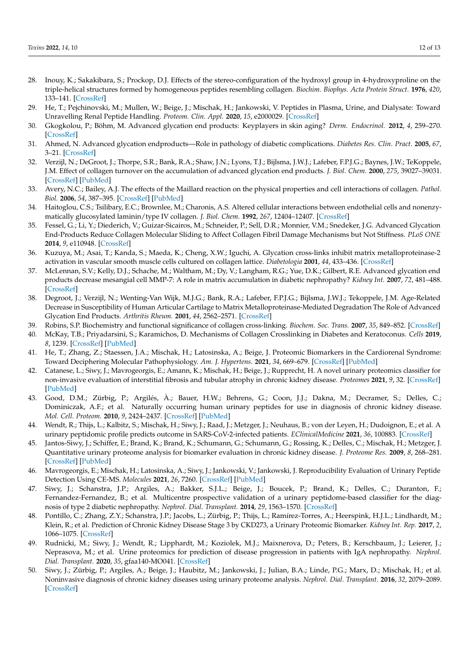- <span id="page-11-0"></span>28. Inouy, K.; Sakakibara, S.; Prockop, D.J. Effects of the stereo-configuration of the hydroxyl group in 4-hydroxyproline on the triple-helical structures formed by homogeneous peptides resembling collagen. *Biochim. Biophys. Acta Protein Struct.* **1976**, *420*, 133–141. [\[CrossRef\]](http://doi.org/10.1016/0005-2795(76)90352-4)
- <span id="page-11-1"></span>29. He, T.; Pejchinovski, M.; Mullen, W.; Beige, J.; Mischak, H.; Jankowski, V. Peptides in Plasma, Urine, and Dialysate: Toward Unravelling Renal Peptide Handling. *Proteom. Clin. Appl.* **2020**, *15*, e2000029. [\[CrossRef\]](http://doi.org/10.1002/prca.202000029)
- <span id="page-11-2"></span>30. Gkogkolou, P.; Böhm, M. Advanced glycation end products: Keyplayers in skin aging? *Derm. Endocrinol.* **2012**, *4*, 259–270. [\[CrossRef\]](http://doi.org/10.4161/derm.22028)
- <span id="page-11-3"></span>31. Ahmed, N. Advanced glycation endproducts—Role in pathology of diabetic complications. *Diabetes Res. Clin. Pract.* **2005**, *67*, 3–21. [\[CrossRef\]](http://doi.org/10.1016/j.diabres.2004.09.004)
- <span id="page-11-4"></span>32. Verzijl, N.; DeGroot, J.; Thorpe, S.R.; Bank, R.A.; Shaw, J.N.; Lyons, T.J.; Bijlsma, J.W.J.; Lafeber, F.P.J.G.; Baynes, J.W.; TeKoppele, J.M. Effect of collagen turnover on the accumulation of advanced glycation end products. *J. Biol. Chem.* **2000**, *275*, 39027–39031. [\[CrossRef\]](http://doi.org/10.1074/jbc.M006700200) [\[PubMed\]](http://www.ncbi.nlm.nih.gov/pubmed/10976109)
- <span id="page-11-5"></span>33. Avery, N.C.; Bailey, A.J. The effects of the Maillard reaction on the physical properties and cell interactions of collagen. *Pathol. Biol.* **2006**, *54*, 387–395. [\[CrossRef\]](http://doi.org/10.1016/j.patbio.2006.07.005) [\[PubMed\]](http://www.ncbi.nlm.nih.gov/pubmed/16962252)
- <span id="page-11-6"></span>34. Haitoglou, C.S.; Tsilibary, E.C.; Brownlee, M.; Charonis, A.S. Altered cellular interactions between endothelial cells and nonenzymatically glucosylated laminin/type IV collagen. *J. Biol. Chem.* **1992**, *267*, 12404–12407. [\[CrossRef\]](http://doi.org/10.1016/S0021-9258(18)42287-9)
- <span id="page-11-7"></span>35. Fessel, G.; Li, Y.; Diederich, V.; Guizar-Sicairos, M.; Schneider, P.; Sell, D.R.; Monnier, V.M.; Snedeker, J.G. Advanced Glycation End-Products Reduce Collagen Molecular Sliding to Affect Collagen Fibril Damage Mechanisms but Not Stiffness. *PLoS ONE* **2014**, *9*, e110948. [\[CrossRef\]](http://doi.org/10.1371/journal.pone.0110948)
- <span id="page-11-8"></span>36. Kuzuya, M.; Asai, T.; Kanda, S.; Maeda, K.; Cheng, X.W.; Iguchi, A. Glycation cross-links inhibit matrix metalloproteinase-2 activation in vascular smooth muscle cells cultured on collagen lattice. *Diabetologia* **2001**, *44*, 433–436. [\[CrossRef\]](http://doi.org/10.1007/s001250051640)
- <span id="page-11-9"></span>37. McLennan, S.V.; Kelly, D.J.; Schache, M.; Waltham, M.; Dy, V.; Langham, R.G.; Yue, D.K.; Gilbert, R.E. Advanced glycation end products decrease mesangial cell MMP-7: A role in matrix accumulation in diabetic nephropathy? *Kidney Int.* **2007**, *72*, 481–488. [\[CrossRef\]](http://doi.org/10.1038/sj.ki.5002357)
- <span id="page-11-10"></span>38. Degroot, J.; Verzijl, N.; Wenting-Van Wijk, M.J.G.; Bank, R.A.; Lafeber, F.P.J.G.; Bijlsma, J.W.J.; Tekoppele, J.M. Age-Related Decrease in Susceptibility of Human Articular Cartilage to Matrix Metalloproteinase-Mediated Degradation The Role of Advanced Glycation End Products. *Arthritis Rheum.* **2001**, *44*, 2562–2571. [\[CrossRef\]](http://doi.org/10.1002/1529-0131(200111)44:11<2562::AID-ART437>3.0.CO;2-1)
- <span id="page-11-11"></span>39. Robins, S.P. Biochemistry and functional significance of collagen cross-linking. *Biochem. Soc. Trans.* **2007**, *35*, 849–852. [\[CrossRef\]](http://doi.org/10.1042/BST0350849)
- <span id="page-11-12"></span>40. McKay, T.B.; Priyadarsini, S.; Karamichos, D. Mechanisms of Collagen Crosslinking in Diabetes and Keratoconus. *Cells* **2019**, *8*, 1239. [\[CrossRef\]](http://doi.org/10.3390/cells8101239) [\[PubMed\]](http://www.ncbi.nlm.nih.gov/pubmed/31614631)
- <span id="page-11-13"></span>41. He, T.; Zhang, Z.; Staessen, J.A.; Mischak, H.; Latosinska, A.; Beige, J. Proteomic Biomarkers in the Cardiorenal Syndrome: Toward Deciphering Molecular Pathophysiology. *Am. J. Hypertens.* **2021**, *34*, 669–679. [\[CrossRef\]](http://doi.org/10.1093/ajh/hpaa201) [\[PubMed\]](http://www.ncbi.nlm.nih.gov/pubmed/33821948)
- <span id="page-11-14"></span>42. Catanese, L.; Siwy, J.; Mavrogeorgis, E.; Amann, K.; Mischak, H.; Beige, J.; Rupprecht, H. A novel urinary proteomics classifier for non-invasive evaluation of interstitial fibrosis and tubular atrophy in chronic kidney disease. *Proteomes* **2021**, *9*, 32. [\[CrossRef\]](http://doi.org/10.3390/proteomes9030032) [\[PubMed\]](http://www.ncbi.nlm.nih.gov/pubmed/34287333)
- <span id="page-11-15"></span>43. Good, D.M.; Zürbig, P.; Argilés, À.; Bauer, H.W.; Behrens, G.; Coon, J.J.; Dakna, M.; Decramer, S.; Delles, C.; Dominiczak, A.F.; et al. Naturally occurring human urinary peptides for use in diagnosis of chronic kidney disease. *Mol. Cell. Proteom.* **2010**, *9*, 2424–2437. [\[CrossRef\]](http://doi.org/10.1074/mcp.M110.001917) [\[PubMed\]](http://www.ncbi.nlm.nih.gov/pubmed/20616184)
- <span id="page-11-16"></span>44. Wendt, R.; Thijs, L.; Kalbitz, S.; Mischak, H.; Siwy, J.; Raad, J.; Metzger, J.; Neuhaus, B.; von der Leyen, H.; Dudoignon, E.; et al. A urinary peptidomic profile predicts outcome in SARS-CoV-2-infected patients. *EClinicalMedicine* **2021**, *36*, 100883. [\[CrossRef\]](http://doi.org/10.1016/j.eclinm.2021.100883)
- <span id="page-11-17"></span>45. Jantos-Siwy, J.; Schiffer, E.; Brand, K.; Brand, K.; Schumann, G.; Schumann, G.; Rossing, K.; Delles, C.; Mischak, H.; Metzger, J. Quantitative urinary proteome analysis for biomarker evaluation in chronic kidney disease. *J. Proteome Res.* **2009**, *8*, 268–281. [\[CrossRef\]](http://doi.org/10.1021/pr800401m) [\[PubMed\]](http://www.ncbi.nlm.nih.gov/pubmed/19012428)
- <span id="page-11-18"></span>46. Mavrogeorgis, E.; Mischak, H.; Latosinska, A.; Siwy, J.; Jankowski, V.; Jankowski, J. Reproducibility Evaluation of Urinary Peptide Detection Using CE-MS. *Molecules* **2021**, *26*, 7260. [\[CrossRef\]](http://doi.org/10.3390/molecules26237260) [\[PubMed\]](http://www.ncbi.nlm.nih.gov/pubmed/34885840)
- <span id="page-11-19"></span>47. Siwy, J.; Schanstra, J.P.; Argiles, A.; Bakker, S.J.L.; Beige, J.; Boucek, P.; Brand, K.; Delles, C.; Duranton, F.; Fernandez-Fernandez, B.; et al. Multicentre prospective validation of a urinary peptidome-based classifier for the diagnosis of type 2 diabetic nephropathy. *Nephrol. Dial. Transplant.* **2014**, *29*, 1563–1570. [\[CrossRef\]](http://doi.org/10.1093/ndt/gfu039)
- <span id="page-11-20"></span>48. Pontillo, C.; Zhang, Z.Y.; Schanstra, J.P.; Jacobs, L.; Zürbig, P.; Thijs, L.; Ramírez-Torres, A.; Heerspink, H.J.L.; Lindhardt, M.; Klein, R.; et al. Prediction of Chronic Kidney Disease Stage 3 by CKD273, a Urinary Proteomic Biomarker. *Kidney Int. Rep.* **2017**, *2*, 1066–1075. [\[CrossRef\]](http://doi.org/10.1016/j.ekir.2017.06.004)
- 49. Rudnicki, M.; Siwy, J.; Wendt, R.; Lipphardt, M.; Koziolek, M.J.; Maixnerova, D.; Peters, B.; Kerschbaum, J.; Leierer, J.; Neprasova, M.; et al. Urine proteomics for prediction of disease progression in patients with IgA nephropathy. *Nephrol. Dial. Transplant.* **2020**, *35*, gfaa140-MO041. [\[CrossRef\]](http://doi.org/10.1093/ndt/gfaa140.MO041)
- 50. Siwy, J.; Zürbig, P.; Argiles, A.; Beige, J.; Haubitz, M.; Jankowski, J.; Julian, B.A.; Linde, P.G.; Marx, D.; Mischak, H.; et al. Noninvasive diagnosis of chronic kidney diseases using urinary proteome analysis. *Nephrol. Dial. Transplant.* **2016**, *32*, 2079–2089. [\[CrossRef\]](http://doi.org/10.1093/ndt/gfw337)